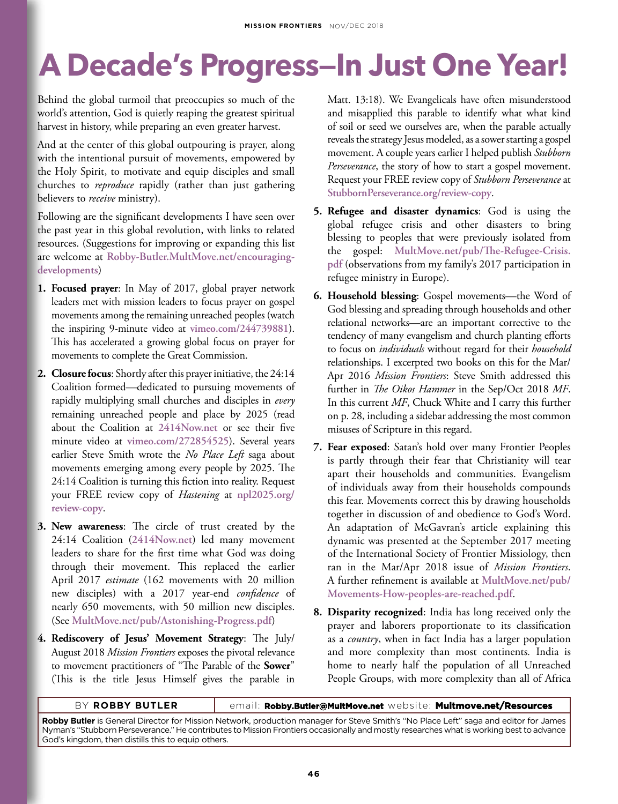## **A Decade's Progress—In Just One Year!**

Behind the global turmoil that preoccupies so much of the world's attention, God is quietly reaping the greatest spiritual harvest in history, while preparing an even greater harvest.

And at the center of this global outpouring is prayer, along with the intentional pursuit of movements, empowered by the Holy Spirit, to motivate and equip disciples and small churches to *reproduce* rapidly (rather than just gathering believers to *receive* ministry).

Following are the significant developments I have seen over the past year in this global revolution, with links to related resources. (Suggestions for improving or expanding this list are welcome at **Robby-Butler.MultMove.net/encouragingdevelopments**)

- **1. Focused prayer**: In May of 2017, global prayer network leaders met with mission leaders to focus prayer on gospel movements among the remaining unreached peoples (watch the inspiring 9-minute video at **vimeo.com/244739881**). This has accelerated a growing global focus on prayer for movements to complete the Great Commission.
- **2. Closure focus**: Shortly after this prayer initiative, the 24:14 Coalition formed—dedicated to pursuing movements of rapidly multiplying small churches and disciples in *every* remaining unreached people and place by 2025 (read about the Coalition at **2414Now.net** or see their five minute video at **vimeo.com/272854525**). Several years earlier Steve Smith wrote the *No Place Left* saga about movements emerging among every people by 2025. The 24:14 Coalition is turning this fiction into reality. Request your FREE review copy of *Hastening* at **npl2025.org/ review-copy**.
- **3. New awareness**: The circle of trust created by the 24:14 Coalition (**2414Now.net**) led many movement leaders to share for the first time what God was doing through their movement. This replaced the earlier April 2017 *estimate* (162 movements with 20 million new disciples) with a 2017 year-end *confidence* of nearly 650 movements, with 50 million new disciples. (See **MultMove.net/pub/Astonishing-Progress.pdf**)
- **4. Rediscovery of Jesus' Movement Strategy**: The July/ August 2018 *Mission Frontiers* exposes the pivotal relevance to movement practitioners of "The Parable of the **Sower**" (This is the title Jesus Himself gives the parable in

Matt. 13:18). We Evangelicals have often misunderstood and misapplied this parable to identify what what kind of soil or seed we ourselves are, when the parable actually reveals the strategy Jesus modeled, as a sower starting a gospel movement. A couple years earlier I helped publish *Stubborn Perseverance*, the story of how to start a gospel movement. Request your FREE review copy of *Stubborn Perseverance* at **StubbornPerseverance.org/review-copy**.

- **5. Refugee and disaster dynamics**: God is using the global refugee crisis and other disasters to bring blessing to peoples that were previously isolated from the gospel: **MultMove.net/pub/The-Refugee-Crisis. pdf** (observations from my family's 2017 participation in refugee ministry in Europe).
- **6. Household blessing**: Gospel movements—the Word of God blessing and spreading through households and other relational networks—are an important corrective to the tendency of many evangelism and church planting efforts to focus on *individuals* without regard for their *household* relationships. I excerpted two books on this for the Mar/ Apr 2016 *Mission Frontiers*: Steve Smith addressed this further in *The Oikos Hammer* in the Sep/Oct 2018 *MF*. In this current *MF*, Chuck White and I carry this further on p. 28, including a sidebar addressing the most common misuses of Scripture in this regard.
- **7. Fear exposed**: Satan's hold over many Frontier Peoples is partly through their fear that Christianity will tear apart their households and communities. Evangelism of individuals away from their households compounds this fear. Movements correct this by drawing households together in discussion of and obedience to God's Word. An adaptation of McGavran's article explaining this dynamic was presented at the September 2017 meeting of the International Society of Frontier Missiology, then ran in the Mar/Apr 2018 issue of *Mission Frontiers*. A further refinement is available at **MultMove.net/pub/ Movements-How-peoples-are-reached.pdf**.
- **8. Disparity recognized**: India has long received only the prayer and laborers proportionate to its classification as a *country*, when in fact India has a larger population and more complexity than most continents*.* India is home to nearly half the population of all Unreached People Groups, with more complexity than all of Africa

| BY ROBBY BUTLER | email: Robby.Butler@MultMove.net website: Multmove.net/Resources |
|-----------------|------------------------------------------------------------------|
|-----------------|------------------------------------------------------------------|

**Robby Butler** is General Director for Mission Network, production manager for Steve Smith's "No Place Left" saga and editor for James Nyman's "Stubborn Perseverance." He contributes to Mission Frontiers occasionally and mostly researches what is working best to advance God's kingdom, then distills this to equip others.